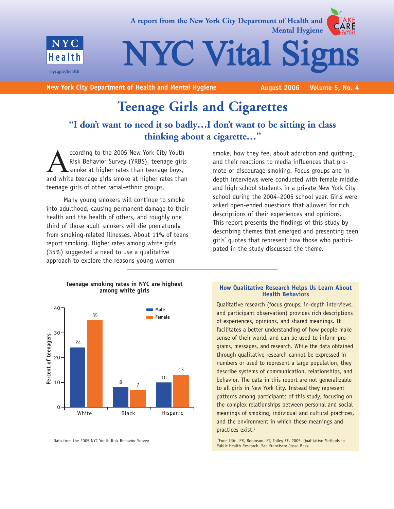

**A report from the New York City Department of Health and Mental Hygiene**

NYC Vital Sig

**New York City Department of Health and Mental Hygiene <b>August 2006** Volume 5, No. 4

## **Teenage Girls and Cigarettes**

## **"I don't want to need it so badly…I don't want to be sitting in class thinking about a cigarette…"**

ccording to the 2005 New York City Youth<br>Risk Behavior Survey (YRBS), teenage girl<br>smoke at higher rates than teenage boys,<br>and white teenage girls smoke at higher rates tha Risk Behavior Survey (YRBS), teenage girls smoke at higher rates than teenage boys, and white teenage girls smoke at higher rates than teenage girls of other racial-ethnic groups.

Many young smokers will continue to smoke into adulthood, causing permanent damage to their health and the health of others, and roughly one third of those adult smokers will die prematurely from smoking-related illnesses. About 11% of teens report smoking. Higher rates among white girls (35%) suggested a need to use a qualitative approach to explore the reasons young women





**Teenage smoking rates in NYC are highest among white girls**

Data from the 2005 NYC Youth Risk Behavior Survey

#### **How Qualitative Research Helps Us Learn About Health Behaviors**

Qualitative research (focus groups, in-depth interviews, and participant observation) provides rich descriptions of experiences, opinions, and shared meanings. It facilitates a better understanding of how people make sense of their world, and can be used to inform programs, messages, and research. While the data obtained through qualitative research cannot be expressed in numbers or used to represent a large population, they describe systems of communication, relationships, and behavior. The data in this report are not generalizable to all girls in New York City. Instead they represent patterns among participants of this study, focusing on the complex relationships between personal and social meanings of smoking, individual and cultural practices, and the environment in which these meanings and practices exist.<sup>1</sup>

<sup>1</sup> From Ulin, PR, Robinson, ET, Tolley EE. 2005. Qualitative Methods in Public Health Research. San Francisco: Josse-Bass.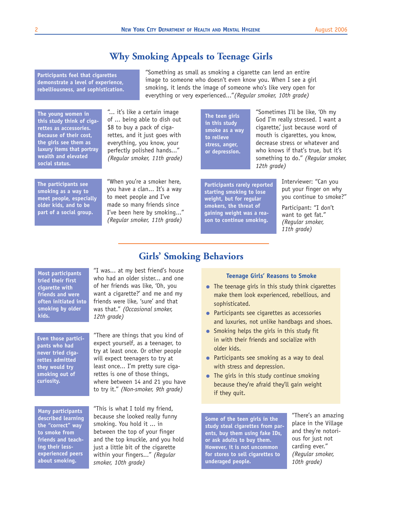## **Why Smoking Appeals to Teenage Girls**

**Girls' Smoking Behaviors**

**Participants feel that cigarettes demonstrate a level of experience, rebelliousness, and sophistication.**

**The young women in this study think of cigarettes as accessories. Because of their cost, the girls see them as luxury items that portray wealth and elevated social status.** 

**The participants see smoking as a way to meet people, especially older kids, and to be part of a social group.** 

"When you're a smoker here, you have a clan... It's a way to meet people and I've made so many friends since I've been here by smoking..." *(Regular smoker, 11th grade)*

"... it's like a certain image of ... being able to dish out \$8 to buy a pack of cigarettes, and it just goes with everything, you know, your perfectly polished hands..." *(Regular smoker, 11th grade)*

"Something as small as smoking a cigarette can lend an entire image to someone who doesn't even know you. When I see a girl smoking, it lends the image of someone who's like very open for everything or very experienced..."*(Regular smoker, 10th grade)*

> **The teen girls in this study smoke as a way to relieve stress, anger, or depression.**

"Sometimes I'll be like, 'Oh my God I'm really stressed. I want a cigarette,' just because word of mouth is cigarettes, you know, decrease stress or whatever and who knows if that's true, but it's something to do." *(Regular smoker, 12th grade)*

**Participants rarely reported starting smoking to lose weight, but for regular smokers, the threat of gaining weight was a reason to continue smoking.**

Interviewer: "Can you put your finger on why you continue to smoke?"

Participant: "I don't want to get fat." *(Regular smoker, 11th grade)*

**Most participants tried their first cigarette with friends and were often initiated into smoking by older kids.**

**Even those participants who had never tried cigarettes admitted they would try smoking out of curiosity.**

**Many participants described learning the "correct" way to smoke from friends and teaching their lessexperienced peers about smoking.**

"I was... at my best friend's house who had an older sister... and one of her friends was like, 'Oh, you want a cigarette?' and me and my friends were like, 'sure' and that was that." *(Occasional smoker, 12th grade)*

"There are things that you kind of expect yourself, as a teenager, to try at least once. Or other people will expect teenagers to try at least once... I'm pretty sure cigarettes is one of those things, where between 14 and 21 you have to try it." *(Non-smoker, 9th grade)*

"This is what I told my friend, because she looked really funny smoking. You hold it ... in between the top of your finger and the top knuckle, and you hold just a little bit of the cigarette within your fingers..." *(Regular smoker, 10th grade)*

#### **Teenage Girls' Reasons to Smoke**

- **●** The teenage girls in this study think cigarettes make them look experienced, rebellious, and sophisticated.
- **●** Participants see cigarettes as accessories and luxuries, not unlike handbags and shoes.
- **●** Smoking helps the girls in this study fit in with their friends and socialize with older kids.
- Participants see smoking as a way to deal with stress and depression.
- **●** The girls in this study continue smoking because they're afraid they'll gain weight if they quit.

**Some of the teen girls in the study steal cigarettes from parents, buy them using fake IDs, or ask adults to buy them. However, it is not uncommon for stores to sell cigarettes to underaged people.**

"There's an amazing place in the Village and they're notorious for just not carding ever." *(Regular smoker, 10th grade)*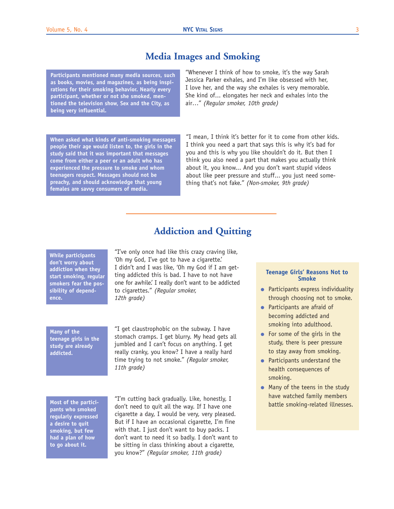### **Media Images and Smoking**

**Participants mentioned many media sources, such as books, movies, and magazines, as being inspirations for their smoking behavior. Nearly every participant, whether or not she smoked, mentioned the television show, Sex and the City, as being very influential.** 

**When asked what kinds of anti-smoking messages people their age would listen to, the girls in the study said that it was important that messages come from either a peer or an adult who has experienced the pressure to smoke and whom teenagers respect. Messages should not be preachy, and should acknowledge that young females are savvy consumers of media.**

"Whenever I think of how to smoke, it's the way Sarah Jessica Parker exhales, and I'm like obsessed with her, I love her, and the way she exhales is very memorable. She kind of... elongates her neck and exhales into the air…" *(Regular smoker, 10th grade)*

"I mean, I think it's better for it to come from other kids. I think you need a part that says this is why it's bad for you and this is why you like shouldn't do it. But then I think you also need a part that makes you actually think about it, you know... And you don't want stupid videos about like peer pressure and stuff... you just need something that's not fake." *(Non-smoker, 9th grade)*

## **Addiction and Quitting**

**While participants don't worry about addiction when they start smoking, regular smokers fear the possibility of dependence.**

"I've only once had like this crazy craving like, 'Oh my God, I've got to have a cigarette.' I didn't and I was like, 'Oh my God if I am getting addicted this is bad. I have to not have one for awhile.' I really don't want to be addicted to cigarettes." *(Regular smoker, 12th grade)*

**Many of the teenage girls in the study are already addicted.**

"I get claustrophobic on the subway. I have stomach cramps. I get blurry. My head gets all jumbled and I can't focus on anything. I get really cranky, you know? I have a really hard time trying to not smoke." *(Regular smoker, 11th grade)*

**Most of the participants who smoked regularly expressed a desire to quit smoking, but few had a plan of how to go about it.**

"I'm cutting back gradually. Like, honestly, I don't need to quit all the way. If I have one cigarette a day, I would be very, very pleased. But if I have an occasional cigarette, I'm fine with that. I just don't want to buy packs. I don't want to need it so badly. I don't want to be sitting in class thinking about a cigarette, you know?" *(Regular smoker, 11th grade)*

#### **Teenage Girls' Reasons Not to Smoke**

- **●** Participants express individuality through choosing not to smoke.
- **●** Participants are afraid of becoming addicted and smoking into adulthood.
- **●** For some of the girls in the study, there is peer pressure to stay away from smoking.
- **●** Participants understand the health consequences of smoking.
- **●** Many of the teens in the study have watched family members battle smoking-related illnesses.